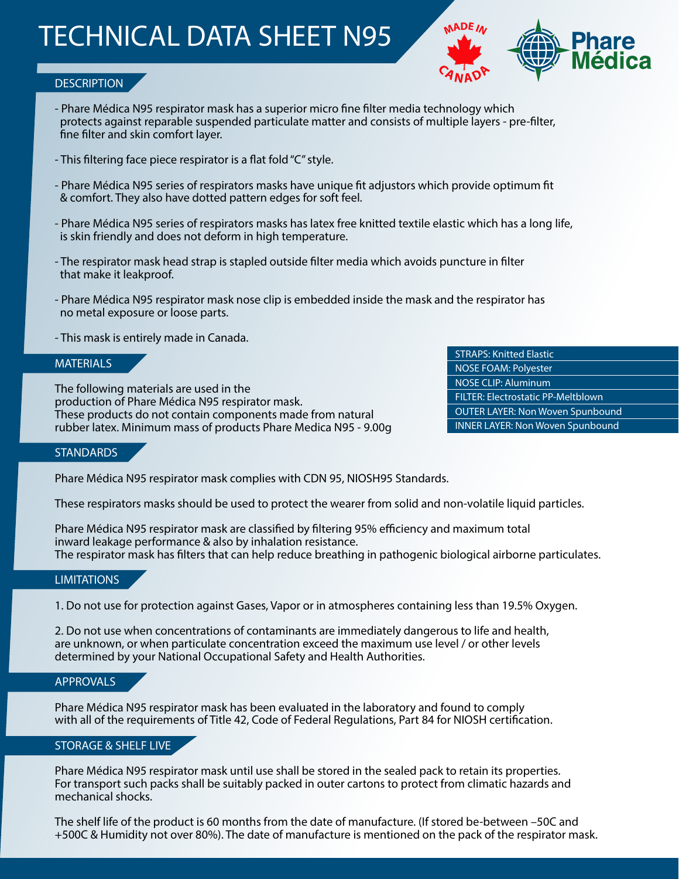## TECHNICAL DATA SHEET N95



## **DESCRIPTION**

- Phare Médica N95 respirator mask has a superior micro fine filter media technology which protects against reparable suspended particulate matter and consists of multiple layers - pre-filter, fine filter and skin comfort layer.
- This filtering face piece respirator is a flat fold "C" style.
- Phare Médica N95 series of respirators masks have unique fit adjustors which provide optimum fit & comfort. They also have dotted pattern edges for soft feel.
- Phare Médica N95 series of respirators masks has latex free knitted textile elastic which has a long life, is skin friendly and does not deform in high temperature.
- The respirator mask head strap is stapled outside filter media which avoids puncture in filter that make it leakproof.
- Phare Médica N95 respirator mask nose clip is embedded inside the mask and the respirator has no metal exposure or loose parts.
- This mask is entirely made in Canada.

### **MATERIALS**

The following materials are used in the production of Phare Médica N95 respirator mask. These products do not contain components made from natural rubber latex. Minimum mass of products Phare Medica N95 - 9.00g STRAPS: Knitted Elastic NOSE FOAM: Polyester NOSE CLIP: Aluminum FILTER: Electrostatic PP-Meltblown OUTER LAYER: Non Woven Spunbound INNER LAYER: Non Woven Spunbound

#### **STANDARDS**

Phare Médica N95 respirator mask complies with CDN 95, NIOSH95 Standards.

These respirators masks should be used to protect the wearer from solid and non-volatile liquid particles.

Phare Médica N95 respirator mask are classified by filtering 95% efficiency and maximum total inward leakage performance & also by inhalation resistance. The respirator mask has filters that can help reduce breathing in pathogenic biological airborne particulates.

#### **LIMITATIONS**

1. Do not use for protection against Gases, Vapor or in atmospheres containing less than 19.5% Oxygen.

2. Do not use when concentrations of contaminants are immediately dangerous to life and health, are unknown, or when particulate concentration exceed the maximum use level / or other levels determined by your National Occupational Safety and Health Authorities.

## APPROVALS

Phare Médica N95 respirator mask has been evaluated in the laboratory and found to comply with all of the requirements of Title 42, Code of Federal Regulations, Part 84 for NIOSH certification.

## STORAGE & SHELF LIVE

Phare Médica N95 respirator mask until use shall be stored in the sealed pack to retain its properties. For transport such packs shall be suitably packed in outer cartons to protect from climatic hazards and mechanical shocks.

The shelf life of the product is 60 months from the date of manufacture. (If stored be-between –50C and +500C & Humidity not over 80%). The date of manufacture is mentioned on the pack of the respirator mask.